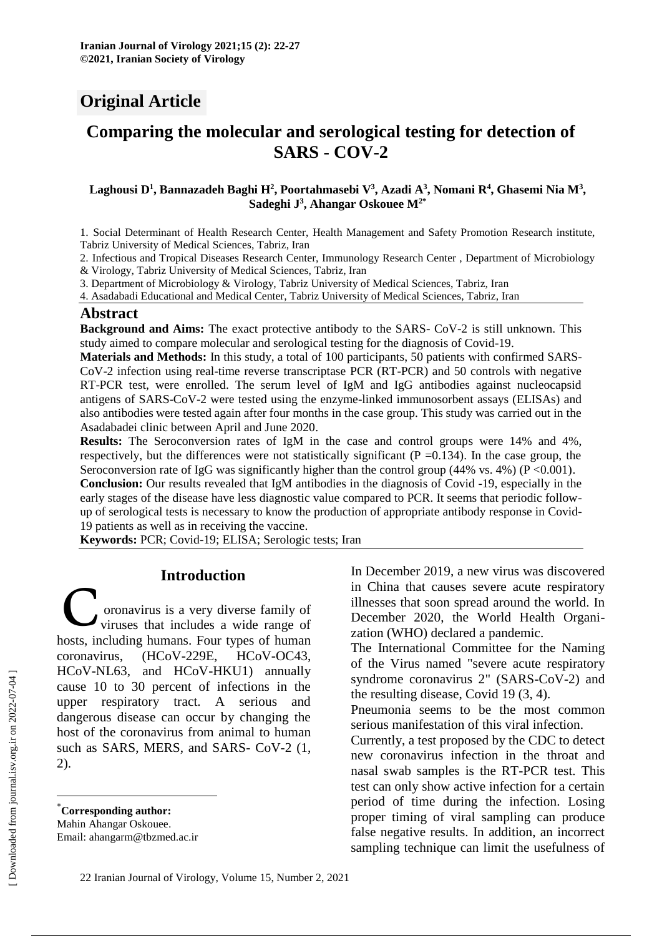# **Original Article**

# **Comparing the molecular and serological testing for detection of SARS - COV-2**

#### **Laghousi D<sup>1</sup> , Bannazadeh Baghi H<sup>2</sup> , Poortahmasebi V<sup>3</sup> , Azadi A<sup>3</sup> , Nomani R<sup>4</sup> , Ghasemi Nia M<sup>3</sup> , Sadeghi J 3 , Ahangar Oskouee M2\***

1. Social Determinant of Health Research Center, Health Management and Safety Promotion Research institute, Tabriz University of Medical Sciences, Tabriz, Iran

2. Infectious and Tropical Diseases Research Center, Immunology Research Center , Department of Microbiology & Virology, Tabriz University of Medical Sciences, Tabriz, Iran

3. Department of Microbiology & Virology, Tabriz University of Medical Sciences, Tabriz, Iran

4. Asadabadi Educational and Medical Center, Tabriz University of Medical Sciences, Tabriz, Iran

#### **Abstract**

**Background and Aims:** The exact protective antibody to the SARS- CoV-2 is still unknown. This study aimed to compare molecular and serological testing for the diagnosis of Covid-19.

**Materials and Methods:** In this study, a total of 100 participants, 50 patients with confirmed SARS-CoV-2 infection using real-time reverse transcriptase PCR (RT-PCR) and 50 controls with negative RT-PCR test, were enrolled. The serum level of IgM and IgG antibodies against nucleocapsid antigens of SARS-CoV-2 were tested using the enzyme-linked immunosorbent assays (ELISAs) and also antibodies were tested again after four months in the case group. This study was carried out in the Asadabadei clinic between April and June 2020.

**Results:** The Seroconversion rates of IgM in the case and control groups were 14% and 4%, respectively, but the differences were not statistically significant ( $P = 0.134$ ). In the case group, the Seroconversion rate of IgG was significantly higher than the control group (44% vs. 4%) ( $P \le 0.001$ ).

**Conclusion:** Our results revealed that IgM antibodies in the diagnosis of Covid -19, especially in the early stages of the disease have less diagnostic value compared to PCR. It seems that periodic followup of serological tests is necessary to know the production of appropriate antibody response in Covid-19 patients as well as in receiving the vaccine.

**Keywords:** PCR; Covid-19; ELISA; Serologic tests; Iran

## **Introduction\***

oronavirus is a very diverse family of viruses that includes a wide range of Introduction<br>
Coronavirus is a very diverse family of<br>
hosts, including humans. Four types of human coronavirus, (HCoV-229E, HCoV-OC43, HCoV-NL63, and HCoV-HKU1) annually cause 10 to 30 percent of infections in the upper respiratory tract. A serious and dangerous disease can occur by changing the host of the coronavirus from animal to human such as SARS, MERS, and SARS- CoV-2 (1, 2).

In December 2019, a new virus was discovered in China that causes severe acute respiratory illnesses that soon spread around the world. In December 2020, the World Health Organization (WHO) declared a pandemic.

The International Committee for the Naming of the Virus named "severe acute respiratory syndrome coronavirus 2" (SARS-CoV-2) and the resulting disease, Covid 19 (3, 4).

Pneumonia seems to be the most common serious manifestation of this viral infection.

Currently, a test proposed by the CDC to detect new coronavirus infection in the throat and nasal swab samples is the RT-PCR test. This test can only show active infection for a certain period of time during the infection. Losing proper timing of viral sampling can produce false negative results. In addition, an incorrect sampling technique can limit the usefulness of

 $\overline{a}$ 

<sup>\*</sup>**Corresponding author:** Mahin Ahangar Oskouee. Email: ahangarm@tbzmed.ac.ir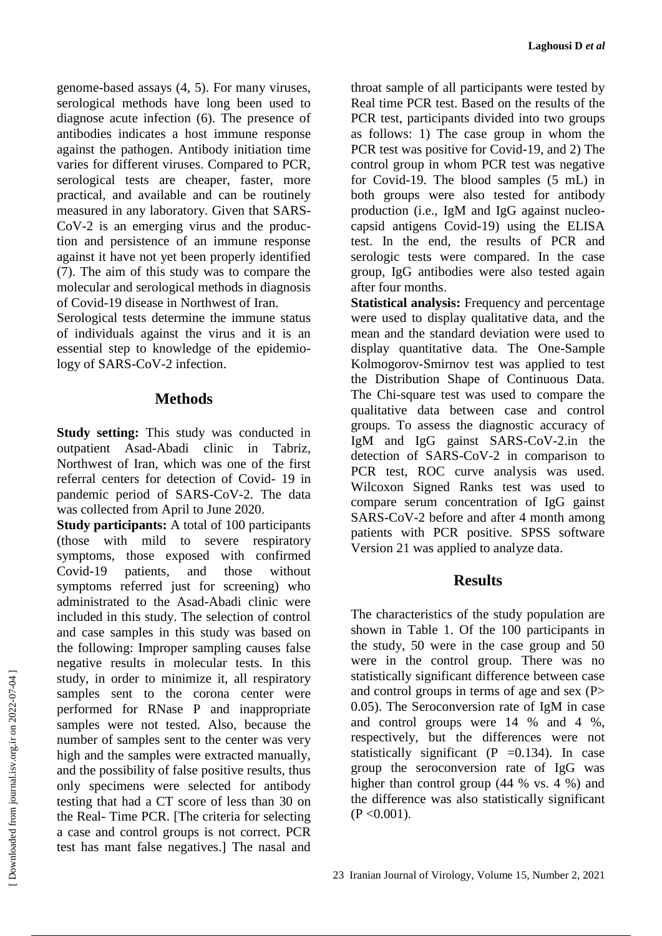genome-based assays (4, 5). For many viruses, serological methods have long been used to diagnose acute infection (6). The presence of antibodies indicates a host immune response against the pathogen. Antibody initiation time varies for different viruses. Compared to PCR, serological tests are cheaper, faster, more practical, and available and can be routinely measured in any laboratory. Given that SARS-CoV-2 is an emerging virus and the production and persistence of an immune response against it have not yet been properly identified (7). The aim of this study was to compare the molecular and serological methods in diagnosis of Covid-19 disease in Northwest of Iran.

Serological tests determine the immune status of individuals against the virus and it is an essential step to knowledge of the epidemiology of SARS-CoV-2 infection.

# **Methods**

**Study setting:** This study was conducted in outpatient Asad-Abadi clinic in Tabriz, Northwest of Iran, which was one of the first referral centers for detection of Covid- 19 in pandemic period of SARS-CoV-2. The data was collected from April to June 2020.

**Study participants:** A total of 100 participants (those with mild to severe respiratory symptoms, those exposed with confirmed Covid-19 patients, and those without symptoms referred just for screening) who administrated to the Asad-Abadi clinic were included in this study. The selection of control and case samples in this study was based on the following: Improper sampling causes false negative results in molecular tests. In this study, in order to minimize it, all respiratory samples sent to the corona center were performed for RNase P and inappropriate samples were not tested. Also, because the number of samples sent to the center was very high and the samples were extracted manually, and the possibility of false positive results, thus only specimens were selected for antibody testing that had a CT score of less than 30 on the Real- Time PCR. [The criteria for selecting a case and control groups is not correct. PCR test has mant false negatives.] The nasal and

throat sample of all participants were tested by Real time PCR test. Based on the results of the PCR test, participants divided into two groups as follows: 1) The case group in whom the PCR test was positive for Covid-19, and 2) The control group in whom PCR test was negative for Covid-19. The blood samples (5 mL) in both groups were also tested for antibody production (i.e., IgM and IgG against nucleocapsid antigens Covid-19) using the ELISA test. In the end, the results of PCR and serologic tests were compared. In the case group, IgG antibodies were also tested again after four months.

**Statistical analysis:** Frequency and percentage were used to display qualitative data, and the mean and the standard deviation were used to display quantitative data. The One-Sample Kolmogorov-Smirnov test was applied to test the Distribution Shape of Continuous Data. The Chi-square test was used to compare the qualitative data between case and control groups. To assess the diagnostic accuracy of IgM and IgG gainst SARS-CoV-2.in the detection of SARS-CoV-2 in comparison to PCR test, ROC curve analysis was used. Wilcoxon Signed Ranks test was used to compare serum concentration of IgG gainst SARS-CoV-2 before and after 4 month among patients with PCR positive. SPSS software Version 21 was applied to analyze data.

# **Results**

The characteristics of the study population are shown in Table 1. Of the 100 participants in the study, 50 were in the case group and 50 were in the control group. There was no statistically significant difference between case and control groups in terms of age and sex (P> 0.05). The Seroconversion rate of IgM in case and control groups were 14 % and 4 %, respectively, but the differences were not statistically significant  $(P = 0.134)$ . In case group the seroconversion rate of IgG was higher than control group (44 % vs. 4 %) and the difference was also statistically significant  $(P < 0.001)$ .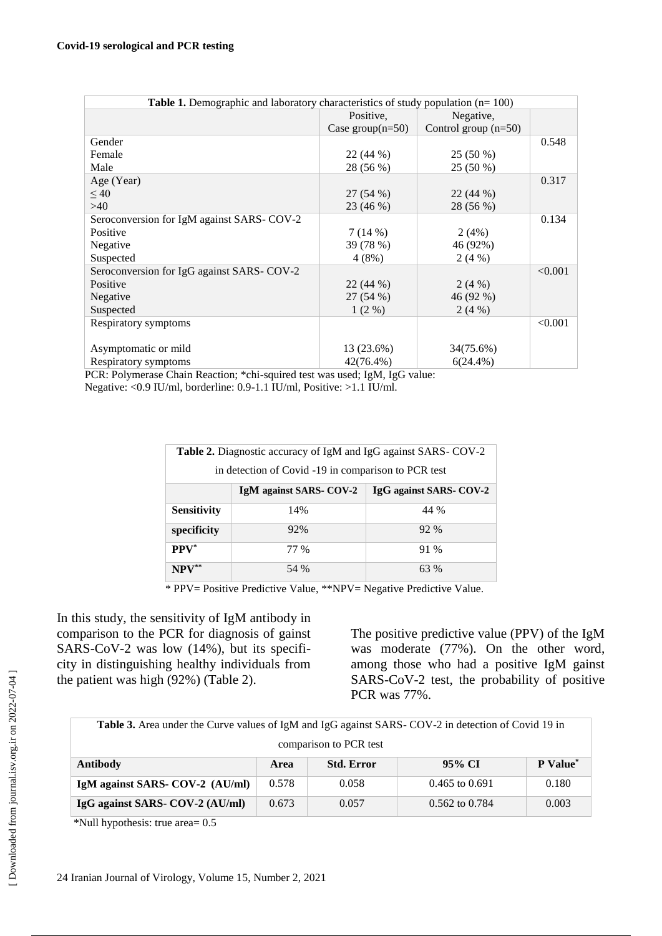| <b>Table 1.</b> Demographic and laboratory characteristics of study population $(n=100)$ |                     |                        |         |  |  |
|------------------------------------------------------------------------------------------|---------------------|------------------------|---------|--|--|
|                                                                                          | Positive.           | Negative,              |         |  |  |
|                                                                                          | Case group $(n=50)$ | Control group $(n=50)$ |         |  |  |
| Gender                                                                                   |                     |                        | 0.548   |  |  |
| Female                                                                                   | 22 (44 %)           | 25 (50 %)              |         |  |  |
| Male                                                                                     | 28 (56 %)           | 25 (50 %)              |         |  |  |
| Age (Year)                                                                               |                     |                        | 0.317   |  |  |
| $\leq 40$                                                                                | 27(54%)             | 22(44%)                |         |  |  |
| >40                                                                                      | 23 (46 %)           | 28 (56 %)              |         |  |  |
| Seroconversion for IgM against SARS-COV-2                                                |                     |                        | 0.134   |  |  |
| Positive                                                                                 | 7(14%)              | 2(4%)                  |         |  |  |
| Negative                                                                                 | 39 (78 %)           | 46 (92%)               |         |  |  |
| Suspected                                                                                | 4(8%)               | 2(4%)                  |         |  |  |
| Seroconversion for IgG against SARS- COV-2                                               |                     |                        | < 0.001 |  |  |
| Positive                                                                                 | 22(44%)             | 2(4%)                  |         |  |  |
| Negative                                                                                 | 27 (54 %)           | 46 (92 %)              |         |  |  |
| Suspected                                                                                | $1(2\%)$            | 2(4%)                  |         |  |  |
| Respiratory symptoms                                                                     |                     |                        | < 0.001 |  |  |
|                                                                                          |                     |                        |         |  |  |
| Asymptomatic or mild                                                                     | 13 (23.6%)          | 34(75.6%)              |         |  |  |
| Respiratory symptoms                                                                     | $42(76.4\%)$        | $6(24.4\%)$            |         |  |  |

 PCR: Polymerase Chain Reaction; \*chi-squired test was used; IgM, IgG value: Negative: <0.9 IU/ml, borderline: 0.9-1.1 IU/ml, Positive: >1.1 IU/ml.

| <b>Table 2.</b> Diagnostic accuracy of IgM and IgG against SARS-COV-2 |                         |                         |  |  |  |
|-----------------------------------------------------------------------|-------------------------|-------------------------|--|--|--|
| in detection of Covid -19 in comparison to PCR test                   |                         |                         |  |  |  |
|                                                                       | IgM against SARS- COV-2 | IgG against SARS- COV-2 |  |  |  |
| <b>Sensitivity</b>                                                    | 14%                     | 44 %                    |  |  |  |
| specificity                                                           | 92%                     | 92%                     |  |  |  |
| $PPV^*$                                                               | 77 %                    | 91 %                    |  |  |  |
| $NPV^{**}$                                                            | 54 %                    | 63 %                    |  |  |  |

\* PPV= Positive Predictive Value, \*\*NPV= Negative Predictive Value.

In this study, the sensitivity of IgM antibody in comparison to the PCR for diagnosis of gainst SARS-CoV-2 was low (14%), but its specificity in distinguishing healthy individuals from the patient was high (92%) (Table 2).

The positive predictive value (PPV) of the IgM was moderate (77%). On the other word, among those who had a positive IgM gainst SARS-CoV-2 test, the probability of positive PCR was 77%.

| Table 3. Area under the Curve values of IgM and IgG against SARS-COV-2 in detection of Covid 19 in |                           |       |                    |                             |  |
|----------------------------------------------------------------------------------------------------|---------------------------|-------|--------------------|-----------------------------|--|
| comparison to PCR test                                                                             |                           |       |                    |                             |  |
| <b>Antibody</b>                                                                                    | <b>Std. Error</b><br>Area |       | 95% CI             | <b>P</b> Value <sup>*</sup> |  |
| IgM against SARS- COV-2 (AU/ml)                                                                    | 0.578                     | 0.058 | $0.465$ to $0.691$ | 0.180                       |  |
| IgG against SARS- COV-2 (AU/ml)                                                                    | 0.673                     | 0.057 | $0.562$ to $0.784$ | 0.003                       |  |

\*Null hypothesis: true area= 0.5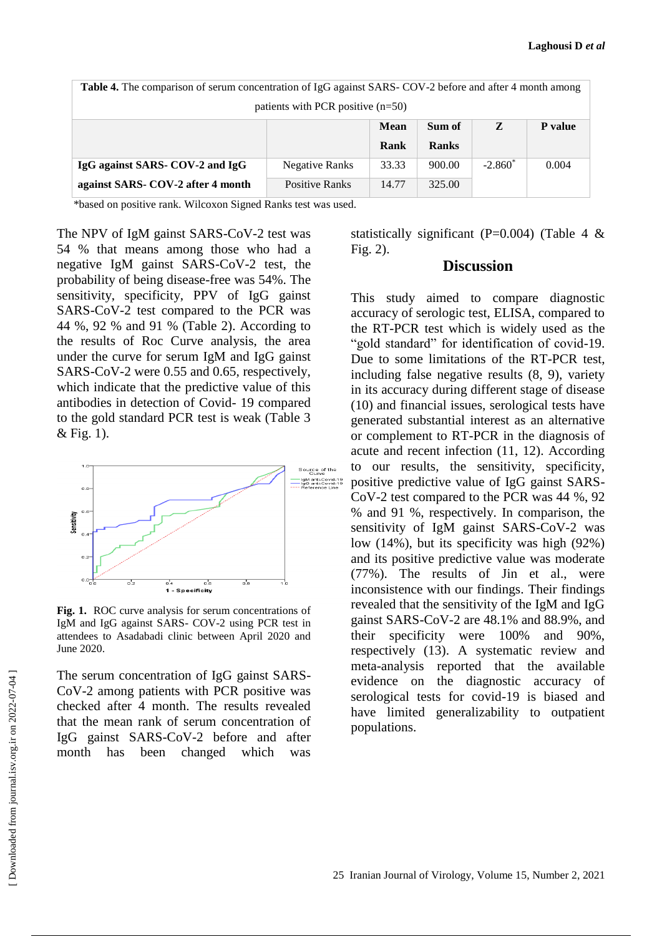| <b>Table 4.</b> The comparison of serum concentration of IgG against SARS- COV-2 before and after 4 month among |                       |       |              |           |                |  |
|-----------------------------------------------------------------------------------------------------------------|-----------------------|-------|--------------|-----------|----------------|--|
| patients with PCR positive $(n=50)$                                                                             |                       |       |              |           |                |  |
|                                                                                                                 |                       | Mean  | Sum of       | Z         | <b>P</b> value |  |
|                                                                                                                 |                       | Rank  | <b>Ranks</b> |           |                |  |
| IgG against SARS- COV-2 and IgG                                                                                 | <b>Negative Ranks</b> | 33.33 | 900.00       | $-2.860*$ | 0.004          |  |
| against SARS- COV-2 after 4 month                                                                               | <b>Positive Ranks</b> | 14.77 | 325.00       |           |                |  |

\*based on positive rank. Wilcoxon Signed Ranks test was used.

The NPV of IgM gainst SARS-CoV-2 test was 54 % that means among those who had a negative IgM gainst SARS-CoV-2 test, the probability of being disease-free was 54%. The sensitivity, specificity, PPV of IgG gainst SARS-CoV-2 test compared to the PCR was 44 %, 92 % and 91 % (Table 2). According to the results of Roc Curve analysis, the area under the curve for serum IgM and IgG gainst SARS-CoV-2 were 0.55 and 0.65, respectively, which indicate that the predictive value of this antibodies in detection of Covid- 19 compared to the gold standard PCR test is weak (Table 3 & Fig. 1).



**Fig. 1.** ROC curve analysis for serum concentrations of IgM and IgG against SARS- COV-2 using PCR test in attendees to Asadabadi clinic between April 2020 and June 2020.

The serum concentration of IgG gainst SARS-CoV-2 among patients with PCR positive was checked after 4 month. The results revealed that the mean rank of serum concentration of IgG gainst SARS-CoV-2 before and after month has been changed which was statistically significant (P=0.004) (Table 4  $\&$ Fig. 2).

#### **Discussion**

This study aimed to compare diagnostic accuracy of serologic test, ELISA, compared to the RT-PCR test which is widely used as the "gold standard" for identification of covid-19. Due to some limitations of the RT-PCR test, including false negative results (8, 9), variety in its accuracy during different stage of disease (10) and financial issues, serological tests have generated substantial interest as an alternative or complement to RT-PCR in the diagnosis of acute and recent infection (11, 12). According to our results, the sensitivity, specificity, positive predictive value of IgG gainst SARS-CoV-2 test compared to the PCR was 44 %, 92 % and 91 %, respectively. In comparison, the sensitivity of IgM gainst SARS-CoV-2 was low (14%), but its specificity was high (92%) and its positive predictive value was moderate (77%). The results of Jin et al., were inconsistence with our findings. Their findings revealed that the sensitivity of the IgM and IgG gainst SARS-CoV-2 are 48.1% and 88.9%, and their specificity were 100% and 90%, respectively (13). A systematic review and meta-analysis reported that the available evidence on the diagnostic accuracy of serological tests for covid-19 is biased and have limited generalizability to outpatient populations.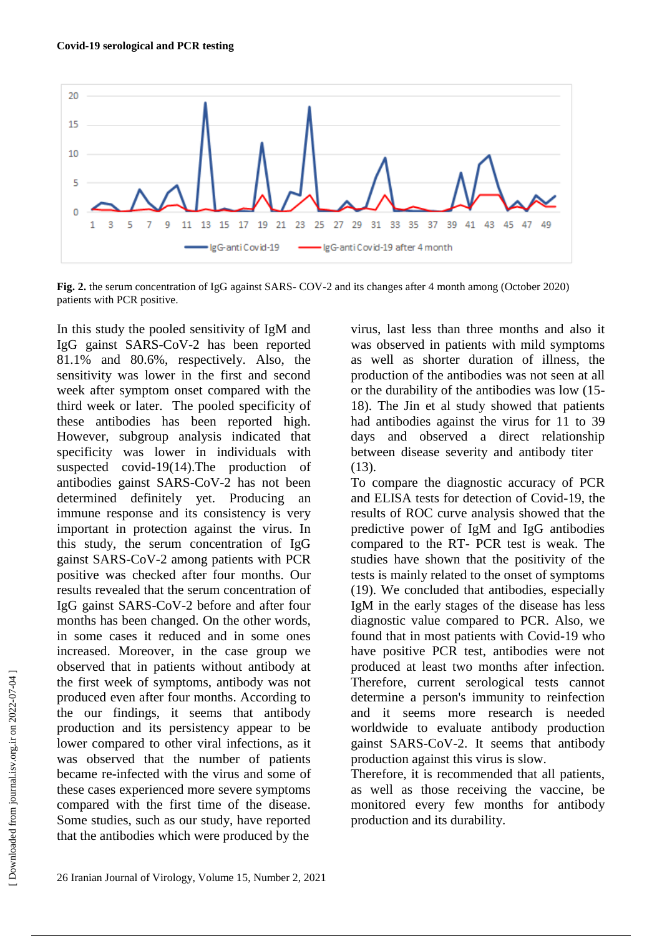

**Fig. 2.** the serum concentration of IgG against SARS- COV-2 and its changes after 4 month among (October 2020) patients with PCR positive.

In this study the pooled sensitivity of IgM and IgG gainst SARS-CoV-2 has been reported 81.1% and 80.6%, respectively. Also, the sensitivity was lower in the first and second week after symptom onset compared with the third week or later. The pooled specificity of these antibodies has been reported high. However, subgroup analysis indicated that specificity was lower in individuals with suspected covid-19(14).The production of antibodies gainst SARS-CoV-2 has not been determined definitely yet. Producing an immune response and its consistency is very important in protection against the virus. In this study, the serum concentration of IgG gainst SARS-CoV-2 among patients with PCR positive was checked after four months. Our results revealed that the serum concentration of IgG gainst SARS-CoV-2 before and after four months has been changed. On the other words, in some cases it reduced and in some ones increased. Moreover, in the case group we observed that in patients without antibody at the first week of symptoms, antibody was not produced even after four months. According to the our findings, it seems that antibody production and its persistency appear to be lower compared to other viral infections, as it was observed that the number of patients became re-infected with the virus and some of these cases experienced more severe symptoms compared with the first time of the disease. Some studies, such as our study, have reported that the antibodies which were produced by the

virus, last less than three months and also it was observed in patients with mild symptoms as well as shorter duration of illness, the production of the antibodies was not seen at all or the durability of the antibodies was low (15- 18). The Jin et al study showed that patients had antibodies against the virus for 11 to 39 days and observed a direct relationship between disease severity and antibody titer (13).

To compare the diagnostic accuracy of PCR and ELISA tests for detection of Covid-19, the results of ROC curve analysis showed that the predictive power of IgM and IgG antibodies compared to the RT- PCR test is weak. The studies have shown that the positivity of the tests is mainly related to the onset of symptoms (19). We concluded that antibodies, especially IgM in the early stages of the disease has less diagnostic value compared to PCR. Also, we found that in most patients with Covid-19 who have positive PCR test, antibodies were not produced at least two months after infection. Therefore, current serological tests cannot determine a person's immunity to reinfection and it seems more research is needed worldwide to evaluate antibody production gainst SARS-CoV-2. It seems that antibody production against this virus is slow.

Therefore, it is recommended that all patients, as well as those receiving the vaccine, be monitored every few months for antibody production and its durability.